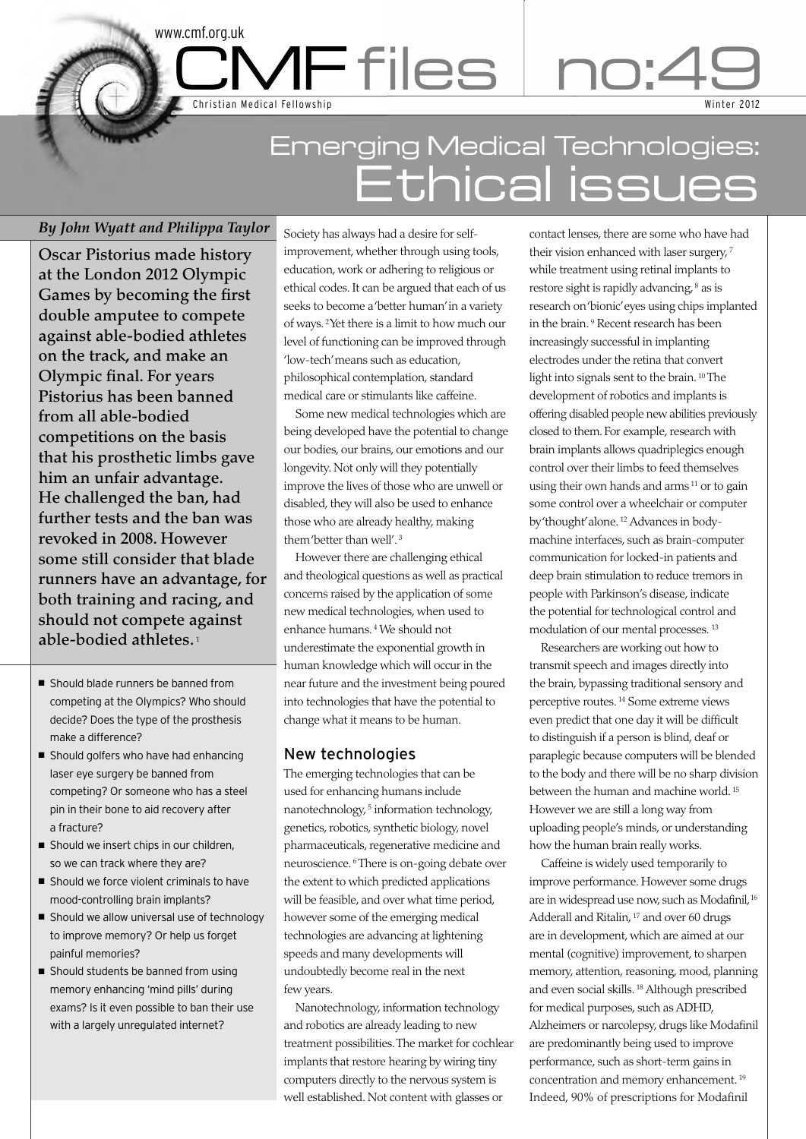# Emerging Medical Technologies: Ethical issues

CMF files no:49

# *By John Wyatt and Philippa Taylor*

Christian Medical Fellowship

www.cmf.org.uk

**Oscar Pistorius made history at the London 2012 Olympic Games by becoming the first double amputee to compete against able-bodied athletes on the track, and make an Olympic final. For years Pistorius has been banned from all able-bodied competitions on the basis that his prosthetic limbs gave him an unfair advantage. He challenged the ban, had further tests and the ban was revoked in 2008. However some still consider that blade runners have an advantage, for both training and racing, and should not compete against able-bodied athletes.** <sup>1</sup>

- Should blade runners be banned from competing at the Olympics? Who should decide? Does the type of the prosthesis make a difference?
- Should golfers who have had enhancing laser eye surgery be banned from competing? Or someone who has a steel pin in their bone to aid recovery after a fracture?
- Should we insert chips in our children, so we can track where they are?
- Should we force violent criminals to have mood-controlling brain implants?
- Should we allow universal use of technology to improve memory? Or help us forget painful memories?
- $\blacksquare$  Should students be banned from using memory enhancing 'mind pills' during exams? Is it even possible to ban their use with a largely unregulated internet?

Society has always had a desire for selfimprovement, whether through using tools, education, work or adhering to religious or ethical codes. It can be argued that each of us seeks to become a 'better human' in a variety of ways. 2Yet there is a limit to how much our level of functioning can be improved through 'low-tech' means such as education, philosophical contemplation, standard medical care or stimulants like caffeine.

Some new medical technologies which are being developed have the potential to change our bodies, our brains, our emotions and our longevity. Not only will they potentially improve the lives of those who are unwell or disabled, they will also be used to enhance those who are already healthy, making them 'better than well'. <sup>3</sup>

However there are challenging ethical and theological questions as well as practical concerns raised by the application of some new medical technologies, when used to enhance humans. <sup>4</sup> We should not underestimate the exponential growth in human knowledge which will occur in the near future and the investment being poured into technologies that have the potential to change what it means to be human.

# New technologies

The emerging technologies that can be used for enhancing humans include nanotechnology, <sup>5</sup> information technology, genetics, robotics, synthetic biology, novel pharmaceuticals, regenerative medicine and neuroscience. <sup>6</sup> There is on-going debate over the extent to which predicted applications will be feasible, and over what time period, however some of the emerging medical technologies are advancing at lightening speeds and many developments will undoubtedly become real in the next few years.

Nanotechnology, information technology and robotics are already leading to new treatment possibilities. The market for cochlear implants that restore hearing by wiring tiny computers directly to the nervous system is well established. Not content with glasses or

contact lenses, there are some who have had their vision enhanced with laser surgery.<sup>7</sup> while treatment using retinal implants to restore sight is rapidly advancing,  $8$  as is research on 'bionic' eyes using chips implanted in the brain. <sup>9</sup> Recent research has been increasingly successful in implanting electrodes under the retina that convert light into signals sent to the brain. <sup>10</sup> The development of robotics and implants is offering disabled people new abilities previously closed to them. For example, research with brain implants allows quadriplegics enough control over their limbs to feed themselves using their own hands and arms <sup>11</sup> or to gain some control over a wheelchair or computer by 'thought' alone. <sup>12</sup> Advances in bodymachine interfaces, such as brain-computer communication for locked-in patients and deep brain stimulation to reduce tremors in people with Parkinson's disease, indicate the potential for technological control and modulation of our mental processes. 13

Winter 2012

Researchers are working out how to transmit speech and images directly into the brain, bypassing traditional sensory and perceptive routes. <sup>14</sup> Some extreme views even predict that one day it will be difficult to distinguish if a person is blind, deaf or paraplegic because computers will be blended to the body and there will be no sharp division between the human and machine world. <sup>15</sup> However we are still a long way from uploading people's minds, or understanding how the human brain really works.

Caffeine is widely used temporarily to improve performance. However some drugs are in widespread use now, such as Modafinil, <sup>16</sup> Adderall and Ritalin, <sup>17</sup> and over 60 drugs are in development, which are aimed at our mental (cognitive) improvement, to sharpen memory, attention, reasoning, mood, planning and even social skills. <sup>18</sup> Although prescribed for medical purposes, such as ADHD, Alzheimers or narcolepsy, drugs like Modafinil are predominantly being used to improve performance, such as short-term gains in concentration and memory enhancement. <sup>19</sup> Indeed, 90% of prescriptions for Modafinil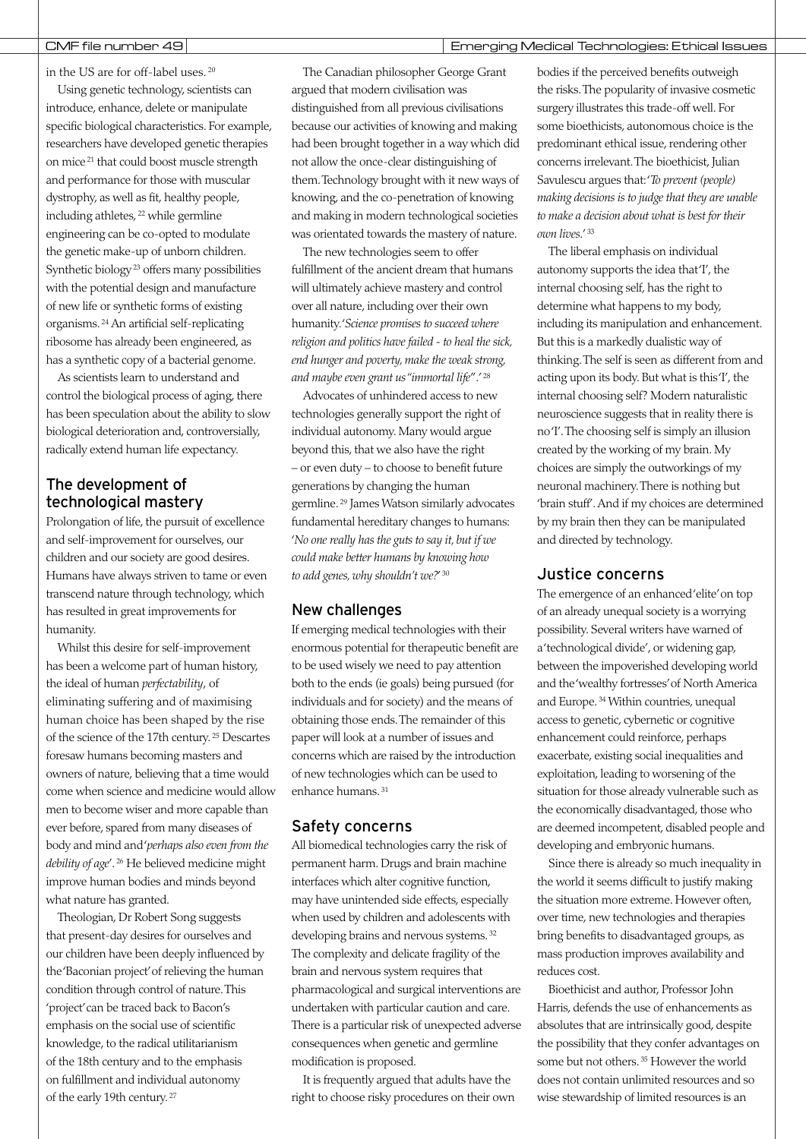### CMF file number 49 Emerging Medical Technologies: Ethical Issues

in the US are for off-label uses. <sup>20</sup>

Using genetic technology, scientists can introduce, enhance, delete or manipulate specific biological characteristics. For example, researchers have developed genetic therapies on mice <sup>21</sup> that could boost muscle strength and performance for those with muscular dystrophy, as well as fit, healthy people, including athletes, <sup>22</sup> while germline engineering can be co-opted to modulate the genetic make-up of unborn children. Synthetic biology <sup>23</sup> offers many possibilities with the potential design and manufacture of new life or synthetic forms of existing organisms. <sup>24</sup> An artificial self-replicating ribosome has already been engineered, as has a synthetic copy of a bacterial genome.

As scientists learn to understand and control the biological process of aging, there has been speculation about the ability to slow biological deterioration and, controversially, radically extend human life expectancy.

# The development of technological mastery

Prolongation of life, the pursuit of excellence and self-improvement for ourselves, our children and our society are good desires. Humans have always striven to tame or even transcend nature through technology, which has resulted in great improvements for humanity.

Whilst this desire for self-improvement has been a welcome part of human history, the ideal of human *perfectability*, of eliminating suffering and of maximising human choice has been shaped by the rise of the science of the 17th century. <sup>25</sup> Descartes foresaw humans becoming masters and owners of nature, believing that a time would come when science and medicine would allow men to become wiser and more capable than ever before, spared from many diseases of body and mind and '*perhaps also even from the debility of age*'. <sup>26</sup> He believed medicine might improve human bodies and minds beyond what nature has granted.

Theologian, Dr Robert Song suggests that present-day desires for ourselves and our children have been deeply influenced by the 'Baconian project' of relieving the human condition through control of nature. This 'project' can be traced back to Bacon's emphasis on the social use of scientific knowledge, to the radical utilitarianism of the 18th century and to the emphasis on fulfillment and individual autonomy of the early 19th century. <sup>27</sup>

The Canadian philosopher George Grant argued that modern civilisation was distinguished from all previous civilisations because our activities of knowing and making had been brought together in a way which did not allow the once-clear distinguishing of them. Technology brought with it new ways of knowing, and the co-penetration of knowing and making in modern technological societies was orientated towards the mastery of nature.

The new technologies seem to offer fulfillment of the ancient dream that humans will ultimately achieve mastery and control over all nature, including over their own humanity. '*Science promises to succeed where religion and politics have failed - to heal the sick, end hunger and poverty, make the weak strong, and maybe even grant us "immortal life*".' <sup>28</sup>

Advocates of unhindered access to new technologies generally support the right of individual autonomy. Many would argue beyond this, that we also have the right – or even duty – to choose to benefit future generations by changing the human germline. <sup>29</sup> James Watson similarly advocates fundamental hereditary changes to humans: '*No one really has the guts to say it, but if we could make better humans by knowing how to add genes, why shouldn't we?*' <sup>30</sup>

### New challenges

If emerging medical technologies with their enormous potential for therapeutic benefit are to be used wisely we need to pay attention both to the ends (ie goals) being pursued (for individuals and for society) and the means of obtaining those ends. The remainder of this paper will look at a number of issues and concerns which are raised by the introduction of new technologies which can be used to enhance humans. <sup>31</sup>

## Safety concerns

All biomedical technologies carry the risk of permanent harm. Drugs and brain machine interfaces which alter cognitive function, may have unintended side effects, especially when used by children and adolescents with developing brains and nervous systems. <sup>32</sup> The complexity and delicate fragility of the brain and nervous system requires that pharmacological and surgical interventions are undertaken with particular caution and care. There is a particular risk of unexpected adverse consequences when genetic and germline modification is proposed.

It is frequently argued that adults have the right to choose risky procedures on their own bodies if the perceived benefits outweigh the risks. The popularity of invasive cosmetic surgery illustrates this trade-off well. For some bioethicists, autonomous choice is the predominant ethical issue, rendering other concerns irrelevant. The bioethicist, Julian Savulescu argues that: '*To prevent (people) making decisions is to judge that they are unable to make a decision about what is best for their own lives*.' <sup>33</sup>

The liberal emphasis on individual autonomy supports the idea that 'I', the internal choosing self, has the right to determine what happens to my body, including its manipulation and enhancement. But this is a markedly dualistic way of thinking. The self is seen as different from and acting upon its body. But what is this 'I', the internal choosing self? Modern naturalistic neuroscience suggests that in reality there is no 'I'. The choosing self is simply an illusion created by the working of my brain. My choices are simply the outworkings of my neuronal machinery. There is nothing but 'brain stuff'. And if my choices are determined by my brain then they can be manipulated and directed by technology.

## Justice concerns

The emergence of an enhanced 'elite' on top of an already unequal society is a worrying possibility. Several writers have warned of a 'technological divide', or widening gap, between the impoverished developing world and the 'wealthy fortresses' of North America and Europe. <sup>34</sup> Within countries, unequal access to genetic, cybernetic or cognitive enhancement could reinforce, perhaps exacerbate, existing social inequalities and exploitation, leading to worsening of the situation for those already vulnerable such as the economically disadvantaged, those who are deemed incompetent, disabled people and developing and embryonic humans.

Since there is already so much inequality in the world it seems difficult to justify making the situation more extreme. However often, over time, new technologies and therapies bring benefits to disadvantaged groups, as mass production improves availability and reduces cost.

Bioethicist and author, Professor John Harris, defends the use of enhancements as absolutes that are intrinsically good, despite the possibility that they confer advantages on some but not others. <sup>35</sup> However the world does not contain unlimited resources and so wise stewardship of limited resources is an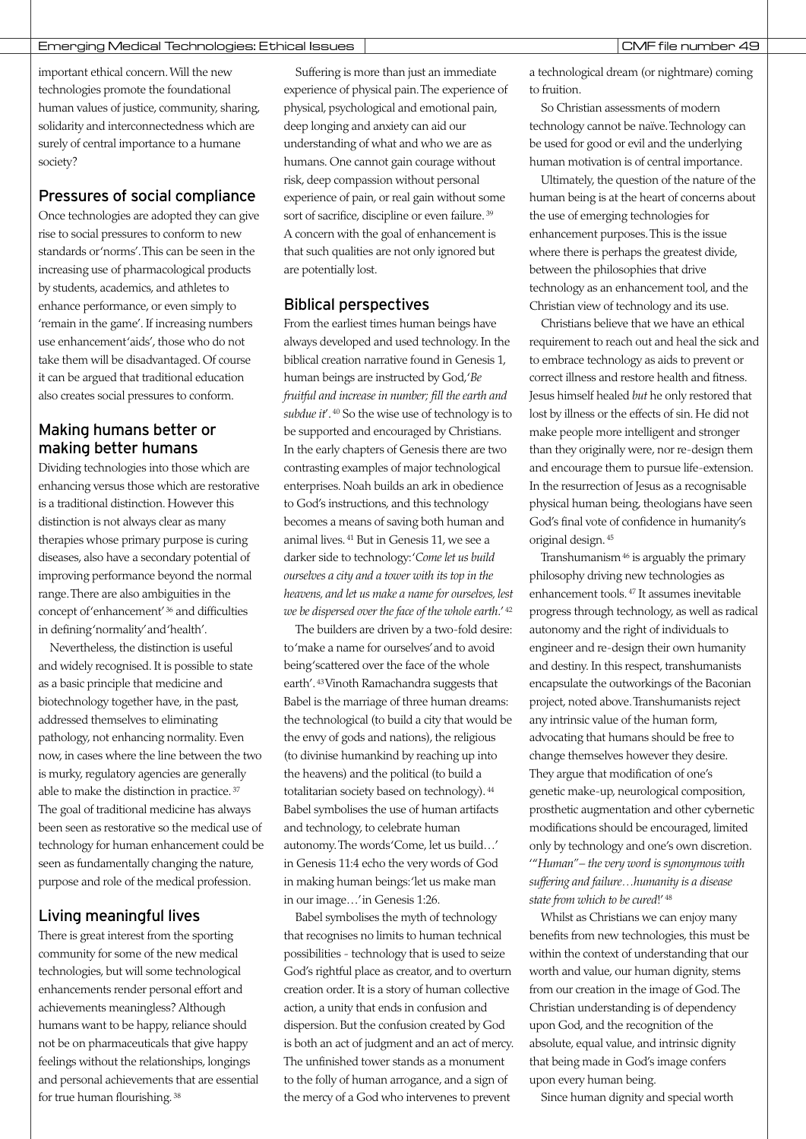important ethical concern. Will the new technologies promote the foundational human values of justice, community, sharing, solidarity and interconnectedness which are surely of central importance to a humane society?

# Pressures of social compliance

Once technologies are adopted they can give rise to social pressures to conform to new standards or 'norms'. This can be seen in the increasing use of pharmacological products by students, academics, and athletes to enhance performance, or even simply to 'remain in the game'. If increasing numbers use enhancement 'aids', those who do not take them will be disadvantaged. Of course it can be argued that traditional education also creates social pressures to conform.

# Making humans better or making better humans

Dividing technologies into those which are enhancing versus those which are restorative is a traditional distinction. However this distinction is not always clear as many therapies whose primary purpose is curing diseases, also have a secondary potential of improving performance beyond the normal range. There are also ambiguities in the concept of 'enhancement' <sup>36</sup> and difficulties in defining 'normality' and 'health'.

Nevertheless, the distinction is useful and widely recognised. It is possible to state as a basic principle that medicine and biotechnology together have, in the past, addressed themselves to eliminating pathology, not enhancing normality. Even now, in cases where the line between the two is murky, regulatory agencies are generally able to make the distinction in practice. <sup>37</sup> The goal of traditional medicine has always been seen as restorative so the medical use of technology for human enhancement could be seen as fundamentally changing the nature, purpose and role of the medical profession.

# Living meaningful lives

There is great interest from the sporting community for some of the new medical technologies, but will some technological enhancements render personal effort and achievements meaningless? Although humans want to be happy, reliance should not be on pharmaceuticals that give happy feelings without the relationships, longings and personal achievements that are essential for true human flourishing. <sup>38</sup>

Suffering is more than just an immediate experience of physical pain. The experience of physical, psychological and emotional pain, deep longing and anxiety can aid our understanding of what and who we are as humans. One cannot gain courage without risk, deep compassion without personal experience of pain, or real gain without some sort of sacrifice, discipline or even failure. <sup>39</sup> A concern with the goal of enhancement is that such qualities are not only ignored but are potentially lost.

# Biblical perspectives

From the earliest times human beings have always developed and used technology. In the biblical creation narrative found in Genesis 1, human beings are instructed by God, '*Be fruitful and increase in number; fill the earth and subdue it*'. <sup>40</sup> So the wise use of technology is to be supported and encouraged by Christians. In the early chapters of Genesis there are two contrasting examples of major technological enterprises. Noah builds an ark in obedience to God's instructions, and this technology becomes a means of saving both human and animal lives. <sup>41</sup> But in Genesis 11, we see a darker side to technology: '*Come let us build ourselves a city and a tower with its top in the heavens, and let us make a name for ourselves, lest we be dispersed over the face of the whole earth*.' <sup>42</sup>

The builders are driven by a two-fold desire: to 'make a name for ourselves' and to avoid being'scattered over the face of the whole earth'. 43Vinoth Ramachandra suggests that Babel is the marriage of three human dreams: the technological (to build a city that would be the envy of gods and nations), the religious (to divinise humankind by reaching up into the heavens) and the political (to build a totalitarian society based on technology). <sup>44</sup> Babel symbolises the use of human artifacts and technology, to celebrate human autonomy. The words 'Come, let us build…' in Genesis 11:4 echo the very words of God in making human beings: 'let us make man in our image…' in Genesis 1:26.

Babel symbolises the myth of technology that recognises no limits to human technical possibilities - technology that is used to seize God's rightful place as creator, and to overturn creation order. It is a story of human collective action, a unity that ends in confusion and dispersion. But the confusion created by God is both an act of judgment and an act of mercy. The unfinished tower stands as a monument to the folly of human arrogance, and a sign of the mercy of a God who intervenes to prevent

a technological dream (or nightmare) coming to fruition.

So Christian assessments of modern technology cannot be naïve. Technology can be used for good or evil and the underlying human motivation is of central importance.

Ultimately, the question of the nature of the human being is at the heart of concerns about the use of emerging technologies for enhancement purposes. This is the issue where there is perhaps the greatest divide, between the philosophies that drive technology as an enhancement tool, and the Christian view of technology and its use.

Christians believe that we have an ethical requirement to reach out and heal the sick and to embrace technology as aids to prevent or correct illness and restore health and fitness. Jesus himself healed *but* he only restored that lost by illness or the effects of sin. He did not make people more intelligent and stronger than they originally were, nor re-design them and encourage them to pursue life-extension. In the resurrection of Jesus as a recognisable physical human being, theologians have seen God's final vote of confidence in humanity's original design. <sup>45</sup>

Transhumanism<sup>46</sup> is arguably the primary philosophy driving new technologies as enhancement tools. <sup>47</sup> It assumes inevitable progress through technology, as well as radical autonomy and the right of individuals to engineer and re-design their own humanity and destiny. In this respect, transhumanists encapsulate the outworkings of the Baconian project, noted above. Transhumanists reject any intrinsic value of the human form, advocating that humans should be free to change themselves however they desire. They argue that modification of one's genetic make-up, neurological composition, prosthetic augmentation and other cybernetic modifications should be encouraged, limited only by technology and one's own discretion. '"*Human" – the very word is synonymous with suffering and failure…humanity is a disease state from which to be cured*!' <sup>48</sup>

Whilst as Christians we can enjoy many benefits from new technologies, this must be within the context of understanding that our worth and value, our human dignity, stems from our creation in the image of God.The Christian understanding is of dependency upon God, and the recognition of the absolute, equal value, and intrinsic dignity that being made in God's image confers upon every human being.

Since human dignity and special worth